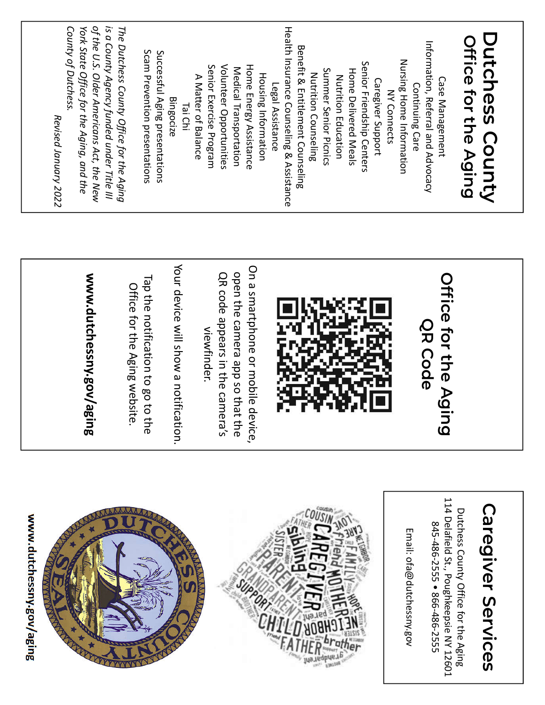| www.dutchessny.gov/aging<br>ú                                                                                                                                             | Your device will show a notifica<br>On a smartphone or mobile de<br>open the camera app so that<br>QR code appears in the camer<br>www.dutchessny.gov/agi<br>Tap the notification to go to the<br>Office for the Aging website.<br>viewfinder.<br><b>LB</b><br>ition.<br>ra's<br>the<br>vice, | of the U.S. Older Americans Act, the New<br>is a County Agency funded under Title III<br>County of Dutchess.<br>The Dutchess County Office for the Aging<br>Health Insurance Counseling & Assistance<br>York State Office for the Aging, and the<br><b>Benefit &amp; Entitlement Counseling</b><br>Scam Prevention presentations<br>Successful Aging presentations<br>Senior Friendship Centers<br>Senior Exercise Program<br>Volunteer Opportunities<br>Home Energy Assistance<br>Medical Transportation<br>Summer Senior Picnics<br><b>Home Delivered Meals</b><br>Nutrition Counseling<br><b>Housing Information</b><br>A Matter of Balance<br>Nutrition Education<br>Legal Assistance<br><b>Bingocize</b><br>Tai Chi<br>Revised January 2022 |
|---------------------------------------------------------------------------------------------------------------------------------------------------------------------------|-----------------------------------------------------------------------------------------------------------------------------------------------------------------------------------------------------------------------------------------------------------------------------------------------|--------------------------------------------------------------------------------------------------------------------------------------------------------------------------------------------------------------------------------------------------------------------------------------------------------------------------------------------------------------------------------------------------------------------------------------------------------------------------------------------------------------------------------------------------------------------------------------------------------------------------------------------------------------------------------------------------------------------------------------------------|
| 114 Delafield St., Poughkeepsie NY 12601<br><b>Caregiver Services</b><br>Dutchess County Office for the Aging<br>845-486-2555 ● 866-486-2555<br>Email: ofa@dutchessny.gox | <b>Office for the Agin</b><br><b>QR Code</b><br>$\bar{\mathbf{\Omega}}$                                                                                                                                                                                                                       | Dutchess County<br>Office for the Aging<br>Information, Referral and Advocacy<br>Nursing Home Information<br>Case Management<br>Caregiver Support<br>Continuing Care<br><b>NY Connects</b>                                                                                                                                                                                                                                                                                                                                                                                                                                                                                                                                                       |

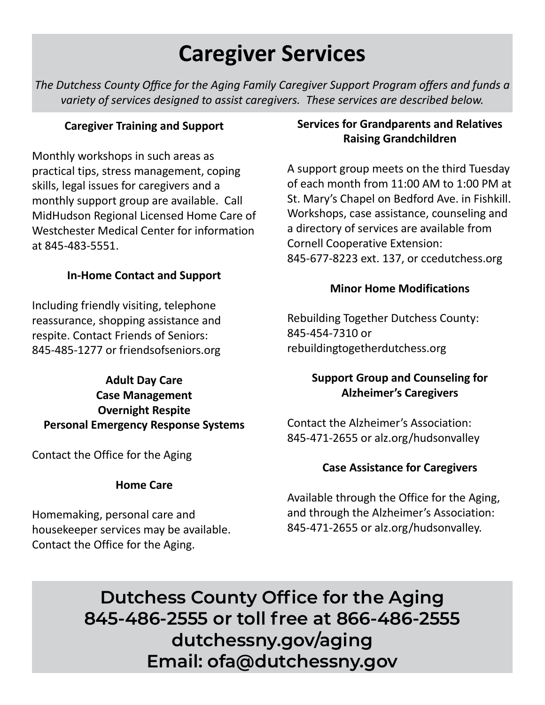# **Caregiver Services**

*The Dutchess County Office for the Aging Family Caregiver Support Program offers and funds a variety of services designed to assist caregivers. These services are described below.*

# **Caregiver Training and Support**

Monthly workshops in such areas as practical tips, stress management, coping skills, legal issues for caregivers and a monthly support group are available. Call MidHudson Regional Licensed Home Care of Westchester Medical Center for information at 845-483-5551.

# **In-Home Contact and Support**

Including friendly visiting, telephone reassurance, shopping assistance and respite. Contact Friends of Seniors: 845-485-1277 or friendsofseniors.org

# **Adult Day Care Case Management Overnight Respite Personal Emergency Response Systems**

Contact the Office for the Aging

# **Home Care**

Homemaking, personal care and housekeeper services may be available. Contact the Office for the Aging.

# **Services for Grandparents and Relatives Raising Grandchildren**

A support group meets on the third Tuesday of each month from 11:00 AM to 1:00 PM at St. Mary's Chapel on Bedford Ave. in Fishkill. Workshops, case assistance, counseling and a directory of services are available from Cornell Cooperative Extension: 845-677-8223 ext. 137, or ccedutchess.org

# **Minor Home Modifications**

Rebuilding Together Dutchess County: 845-454-7310 or rebuildingtogetherdutchess.org

# **Support Group and Counseling for Alzheimer's Caregivers**

Contact the Alzheimer's Association: 845-471-2655 or alz.org/hudsonvalley

# **Case Assistance for Caregivers**

Available through the Office for the Aging, and through the Alzheimer's Association: 845-471-2655 or alz.org/hudsonvalley.

**Dutchess County Office for the Aging 845-486-2555 or toll free at 866-486-2555 dutchessny.gov/aging Email: ofa@dutchessny.gov**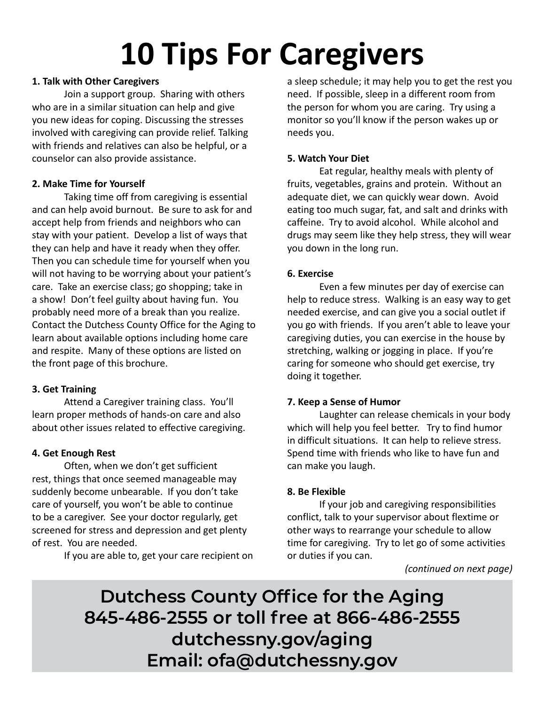# **10 Tips For Caregivers**

#### **1. Talk with Other Caregivers**

 Join a support group. Sharing with others who are in a similar situation can help and give you new ideas for coping. Discussing the stresses involved with caregiving can provide relief. Talking with friends and relatives can also be helpful, or a counselor can also provide assistance.

#### **2. Make Time for Yourself**

 Taking time off from caregiving is essential and can help avoid burnout. Be sure to ask for and accept help from friends and neighbors who can stay with your patient. Develop a list of ways that they can help and have it ready when they offer. Then you can schedule time for yourself when you will not having to be worrying about your patient's care. Take an exercise class; go shopping; take in a show! Don't feel guilty about having fun. You probably need more of a break than you realize. Contact the Dutchess County Office for the Aging to learn about available options including home care and respite. Many of these options are listed on the front page of this brochure.

#### **3. Get Training**

 Attend a Caregiver training class. You'll learn proper methods of hands-on care and also about other issues related to effective caregiving.

#### **4. Get Enough Rest**

 Often, when we don't get sufficient rest, things that once seemed manageable may suddenly become unbearable. If you don't take care of yourself, you won't be able to continue to be a caregiver. See your doctor regularly, get screened for stress and depression and get plenty of rest. You are needed.

If you are able to, get your care recipient on

a sleep schedule; it may help you to get the rest you need. If possible, sleep in a different room from the person for whom you are caring. Try using a monitor so you'll know if the person wakes up or needs you.

#### **5. Watch Your Diet**

 Eat regular, healthy meals with plenty of fruits, vegetables, grains and protein. Without an adequate diet, we can quickly wear down. Avoid eating too much sugar, fat, and salt and drinks with caffeine. Try to avoid alcohol. While alcohol and drugs may seem like they help stress, they will wear you down in the long run.

#### **6. Exercise**

 Even a few minutes per day of exercise can help to reduce stress. Walking is an easy way to get needed exercise, and can give you a social outlet if you go with friends. If you aren't able to leave your caregiving duties, you can exercise in the house by stretching, walking or jogging in place. If you're caring for someone who should get exercise, try doing it together.

#### **7. Keep a Sense of Humor**

 Laughter can release chemicals in your body which will help you feel better. Try to find humor in difficult situations. It can help to relieve stress. Spend time with friends who like to have fun and can make you laugh.

#### **8. Be Flexible**

 If your job and caregiving responsibilities conflict, talk to your supervisor about flextime or other ways to rearrange your schedule to allow time for caregiving. Try to let go of some activities or duties if you can.

*(continued on next page)*

**Dutchess County Office for the Aging 845-486-2555 or toll free at 866-486-2555 dutchessny.gov/aging Email: ofa@dutchessny.gov**